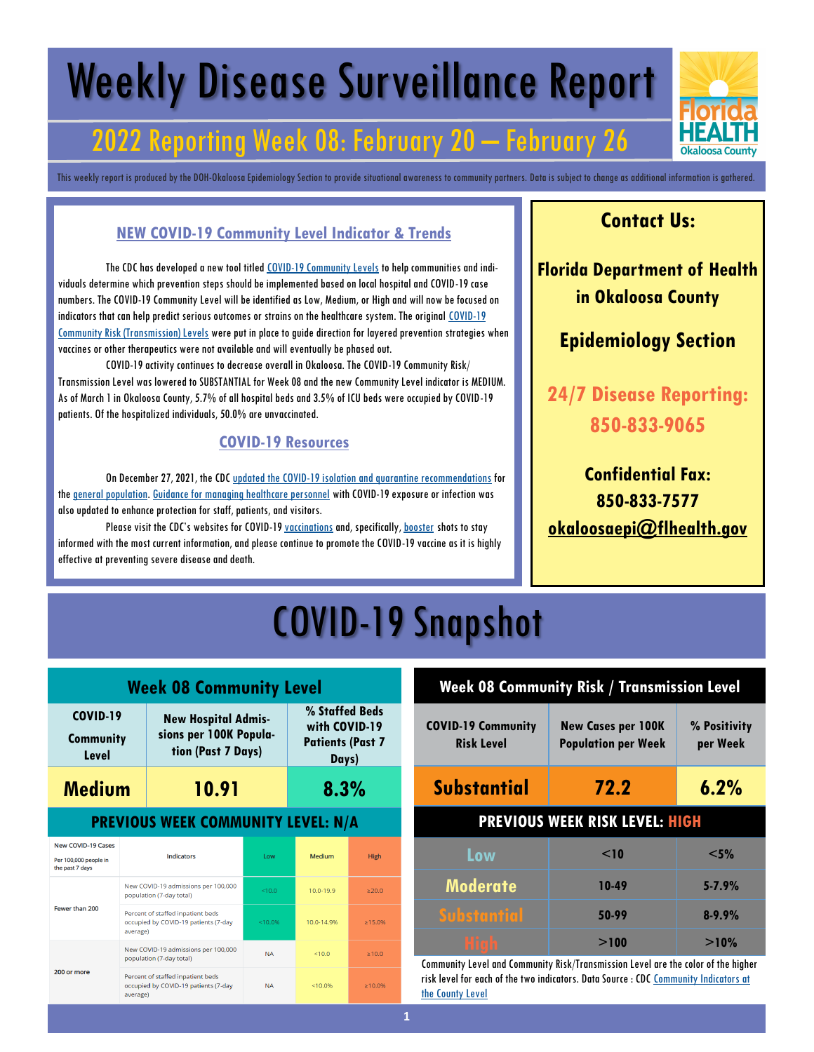# Weekly Disease Surveillance Report

### 2022 Reporting Week 08: February 20 – February 26

This weekly report is produced by the DOH-Okaloosa Epidemiology Section to provide situational awareness to community partners. Data is subject to change as additional information is gathered.

#### **NEW COVID-19 Community Level Indicator & Trends**

The CDC has developed a new tool titled [COVID-19 Community Levels](https://www.cdc.gov/coronavirus/2019-ncov/science/community-levels.html) to help communities and individuals determine which prevention steps should be implemented based on local hospital and COVID-19 case numbers. The COVID-19 Community Level will be identified as Low, Medium, or High and will now be focused on indicators that can help predict serious outcomes or strains on the healthcare system. The original [COVID-19](https://covid.cdc.gov/covid-data-tracker/#county-view?list_select_state=Florida&data-type=Risk&list_select_county=12091)  [Community Risk \(Transmission\) Levels](https://covid.cdc.gov/covid-data-tracker/#county-view?list_select_state=Florida&data-type=Risk&list_select_county=12091) were put in place to guide direction for layered prevention strategies when vaccines or other therapeutics were not available and will eventually be phased out.

COVID-19 activity continues to decrease overall in Okaloosa. The COVID-19 Community Risk/ Transmission Level was lowered to SUBSTANTIAL for Week 08 and the new Community Level indicator is MEDIUM. As of March 1 in Okaloosa County, 5.7% of all hospital beds and 3.5% of ICU beds were occupied by COVID-19 patients. Of the hospitalized individuals, 50.0% are unvaccinated.

#### **COVID-19 Resources**

On December 27, 2021, the CDC [updated the COVID-19 isolation and quarantine recommendations](https://www.cdc.gov/media/releases/2021/s1227-isolation-quarantine-guidance.html) for the [general population.](https://www.cdc.gov/coronavirus/2019-ncov/your-health/quarantine-isolation.html#closecontact) [Guidance for managing healthcare personnel](https://www.cdc.gov/coronavirus/2019-ncov/hcp/guidance-risk-assesment-hcp.html) with COVID-19 exposure or infection was also updated to enhance protection for staff, patients, and visitors.

Please visit the CDC's websites for COVID-19 **vaccinations** and, specifically, **[booster](https://www.cdc.gov/coronavirus/2019-ncov/vaccines/booster-shot.html)** shots to stay informed with the most current information, and please continue to promote the COVID-19 vaccine as it is highly effective at preventing severe disease and death.

### **Contact Us:**

**Florida Department of Health in Okaloosa County**

### **Epidemiology Section**

**24/7 Disease Reporting: 850-833-9065**

**Confidential Fax: 850-833-7577 [okaloosaepi@flhealth.gov](mailto:okaloosaepi@flhealth.gov)**

## COVID-19 Snapshot

| <b>Week 08 Community Level</b>                                        |                                                                                       |                                                                            |           |                                                                     |             |
|-----------------------------------------------------------------------|---------------------------------------------------------------------------------------|----------------------------------------------------------------------------|-----------|---------------------------------------------------------------------|-------------|
| <b>COVID-19</b><br><b>Community</b><br>Level                          |                                                                                       | <b>New Hospital Admis-</b><br>sions per 100K Popula-<br>tion (Past 7 Days) |           | % Staffed Beds<br>with COVID-19<br><b>Patients (Past 7</b><br>Days) |             |
| Medium                                                                | 10.91                                                                                 |                                                                            |           | 8.3%                                                                |             |
| <b>PREVIOUS WEEK COMMUNITY LEVEL: N/A</b>                             |                                                                                       |                                                                            |           |                                                                     |             |
| <b>New COVID-19 Cases</b><br>Per 100,000 people in<br>the past 7 days | <b>Indicators</b>                                                                     |                                                                            | Low       | Medium                                                              | <b>High</b> |
|                                                                       | New COVID-19 admissions per 100,000<br>population (7-day total)                       |                                                                            | < 10.0    | 10.0-19.9                                                           | $\geq 20.0$ |
| Fewer than 200                                                        | Percent of staffed inpatient beds<br>occupied by COVID-19 patients (7-day<br>average) |                                                                            | < 10.0%   | 10.0-14.9%                                                          | >15.0%      |
| New COVID-19 admissions per 100,000<br>population (7-day total)       |                                                                                       | <b>NA</b>                                                                  | < 10.0    | >10.0                                                               |             |
| 200 or more                                                           | average)                                                                              | Percent of staffed inpatient beds<br>occupied by COVID-19 patients (7-day  | <b>NA</b> | < 10.0%                                                             | $>10.0\%$   |

#### **Week 08 Community Risk / Transmission Level**

| <b>COVID-19 Community</b><br><b>Risk Level</b> | <b>New Cases per 100K</b><br><b>Population per Week</b> | % Positivity<br>per Week |  |
|------------------------------------------------|---------------------------------------------------------|--------------------------|--|
| <b>Substantial</b>                             | 72.2                                                    | 6.2%                     |  |
| <b>PREVIOUS WEEK RISK LEVEL: HIGH</b>          |                                                         |                          |  |
| Low                                            | $<$ 10                                                  | $<$ 5%                   |  |
| <b>Moderate</b>                                | 10-49                                                   | $5 - 7.9%$               |  |
| <b>Substantial</b>                             | 50-99                                                   | $8 - 9.9%$               |  |
| <b>High</b>                                    | >100                                                    | >10%                     |  |

Community Level and Community Risk/Transmission Level are the color of the higher risk level for each of the two indicators. Data Source : CDC [Community Indicators at](https://covid.cdc.gov/covid-data-tracker/#county-view?list_select_state=Florida&data-type=Risk&list_select_county=12091)  [the County Level](https://covid.cdc.gov/covid-data-tracker/#county-view?list_select_state=Florida&data-type=Risk&list_select_county=12091)

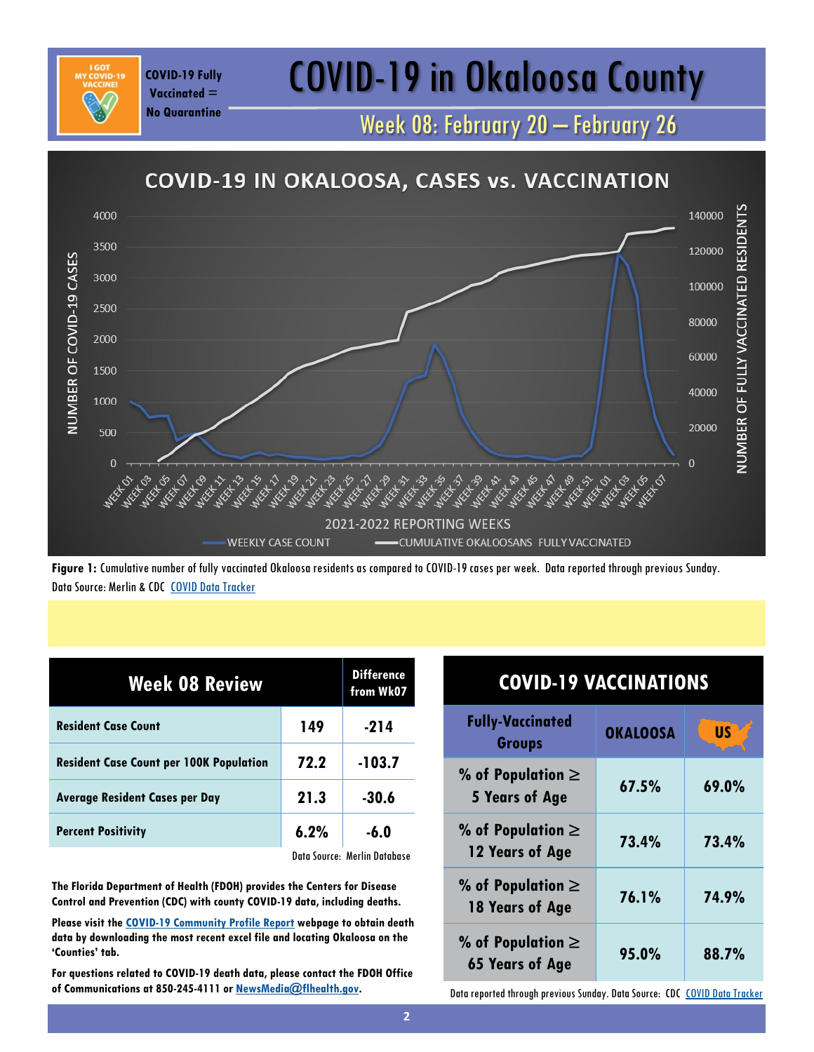### COVID-19 Fully **COVID-19 in Okaloosa County**

Week 08: February 20 – February 26



**Figure 1:** Cumulative number of fully vaccinated Okaloosa residents as compared to COVID-19 cases per week. Data reported through previous Sunday. Data Source: Merlin & CDC [COVID Data Tracker](https://covid.cdc.gov/covid-data-tracker/#vaccinations)

| <b>Week 08 Review</b>                          | <b>Difference</b><br>from Wk07 |                              |
|------------------------------------------------|--------------------------------|------------------------------|
| <b>Resident Case Count</b>                     | 149                            | $-214$                       |
| <b>Resident Case Count per 100K Population</b> | 72.2                           | $-103.7$                     |
| <b>Average Resident Cases per Day</b>          | 21.3                           | $-30.6$                      |
| <b>Percent Positivity</b>                      | 6.2%                           | $-6.0$                       |
|                                                |                                | Data Source: Merlin Database |

**Vaccinated = No Quarantine**

**The Florida Department of Health (FDOH) provides the Centers for Disease Control and Prevention (CDC) with county COVID-19 data, including deaths.** 

**Please visit the [COVID-19 Community Profile Report](https://healthdata.gov/Health/COVID-19-Community-Profile-Report/gqxm-d9w9) webpage to obtain death data by downloading the most recent excel file and locating Okaloosa on the 'Counties' tab.** 

**For questions related to COVID-19 death data, please contact the FDOH Office of Communications at 850-245-4111 or [NewsMedia@flhealth.gov.](mailto:NewsMedia@flhealth.gov)**

| <b>COVID-19 VACCINATIONS</b>                                               |                 |           |
|----------------------------------------------------------------------------|-----------------|-----------|
| <b>Fully-Vaccinated</b><br><b>Groups</b>                                   | <b>OKALOOSA</b> | <b>US</b> |
| % of Population $\ge$<br><b>5 Years of Age</b>                             | 67.5%           | 69.0%     |
| % of Population $\ge$<br>12 Years of Age                                   | 73.4%           | 73.4%     |
| % of Population $\ge$<br>18 Years of Age                                   | 76.1%           | 74.9%     |
| % of Population $\ge$<br><b>65 Years of Age</b>                            | 95.0%           | 88.7%     |
| Data reported through previous Sunday. Data Source: CDC COVID Data Tracker |                 |           |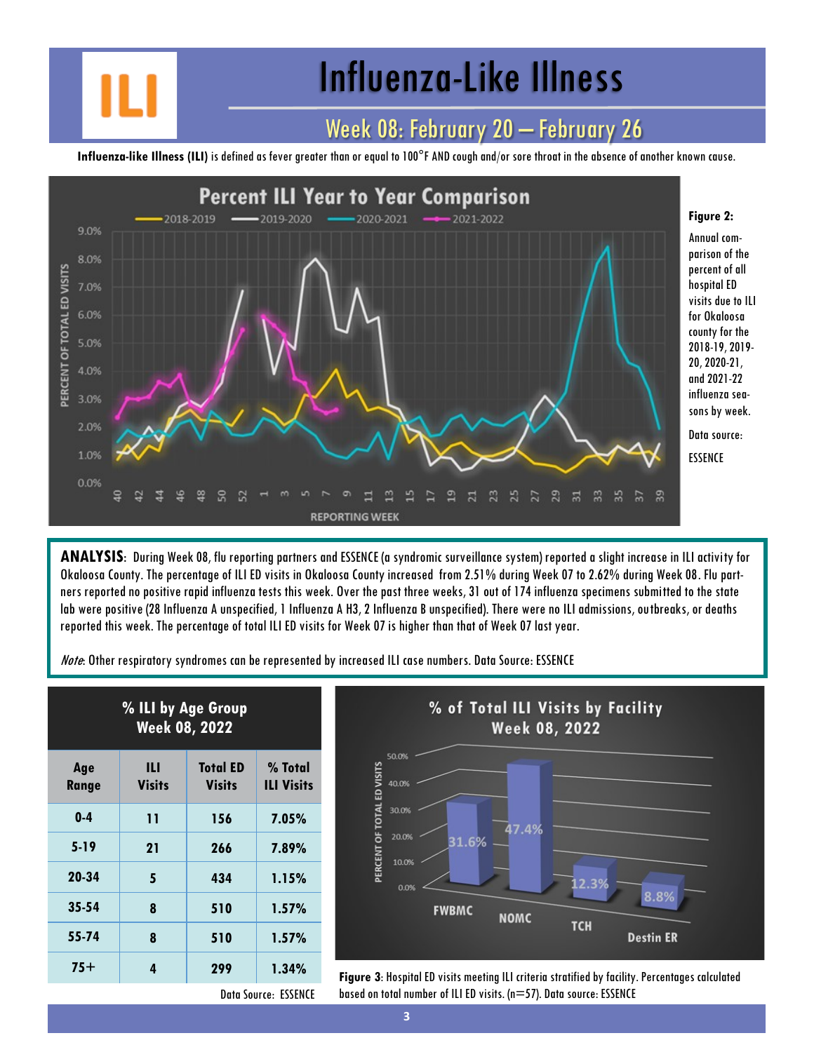## Influenza-Like Illness

### Week 08: February 20 – February 26

**Influenza-like Illness (ILI)** is defined as fever greater than or equal to 100°F AND cough and/or sore throat in the absence of another known cause.



**ANALYSIS**: During Week 08, flu reporting partners and ESSENCE (a syndromic surveillance system) reported a slight increase in ILI activity for Okaloosa County. The percentage of ILI ED visits in Okaloosa County increased from 2.51% during Week 07 to 2.62% during Week 08. Flu partners reported no positive rapid influenza tests this week. Over the past three weeks, 31 out of 174 influenza specimens submitted to the state lab were positive (28 Influenza A unspecified, 1 Influenza A H3, 2 Influenza B unspecified). There were no ILI admissions, outbreaks, or deaths reported this week. The percentage of total ILI ED visits for Week 07 is higher than that of Week 07 last year.

Note: Other respiratory syndromes can be represented by increased ILI case numbers. Data Source: ESSENCE

| % ILI by Age Group<br><b>Week 08, 2022</b> |                    |                                  |                              |
|--------------------------------------------|--------------------|----------------------------------|------------------------------|
| Age<br>Range                               | Ш<br><b>Visits</b> | <b>Total ED</b><br><b>Visits</b> | % Total<br><b>ILI Visits</b> |
| $0-4$                                      | 11                 | 156                              | 7.05%                        |
| $5 - 19$                                   | 21                 | 266                              | 7.89%                        |
| 20-34                                      | 5                  | 434                              | 1.15%                        |
| 35-54                                      | 8                  | 510                              | 1.57%                        |
| 55-74                                      | 8                  | 510                              | 1.57%                        |
| $75+$                                      | 4                  | 299                              | 1.34%                        |



**75+ <sup>4</sup> <sup>299</sup> 1.34% Figure 3**: Hospital ED visits meeting ILI criteria stratified by facility. Percentages calculated based on total number of ILI ED visits. (n=57). Data source: ESSENCE

Data Source: ESSENCE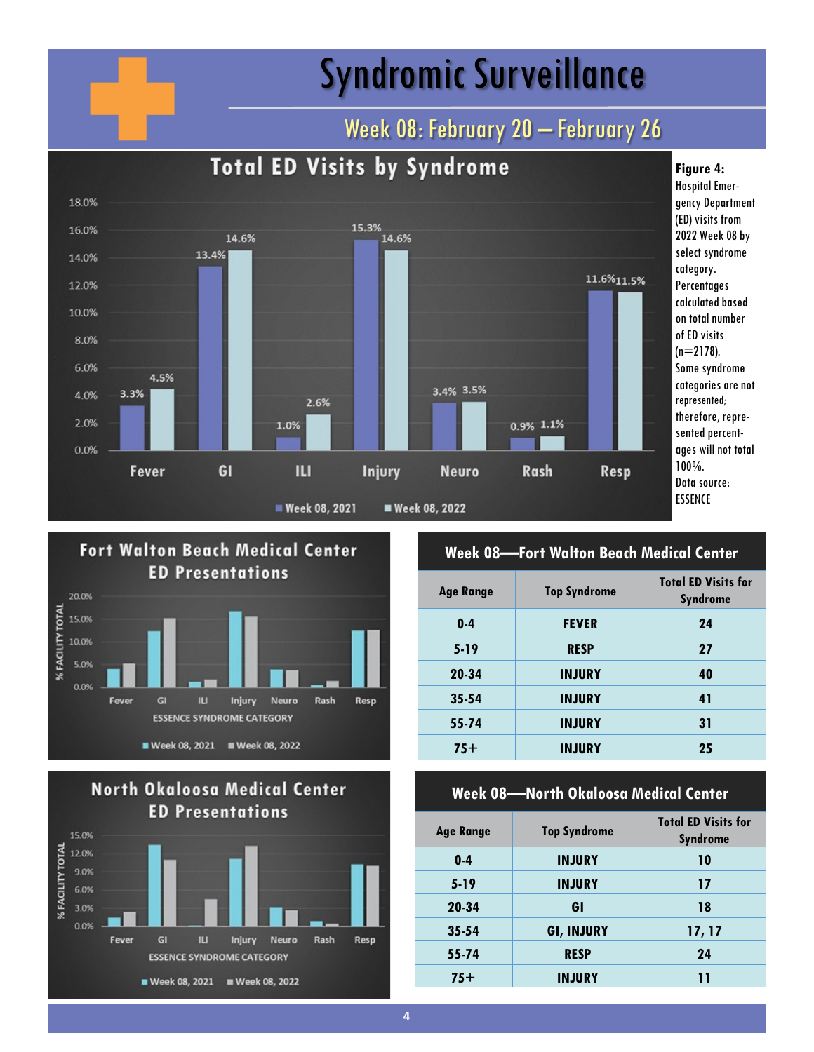## Syndromic Surveillance

### Week 08: February 20 - February 26







#### **Week 08—Fort Walton Beach Medical Center**

| <b>Age Range</b> | <b>Top Syndrome</b> | <b>Total ED Visits for</b><br><b>Syndrome</b> |
|------------------|---------------------|-----------------------------------------------|
| $0 - 4$          | <b>FEVER</b>        | 24                                            |
| $5-19$           | <b>RESP</b>         | 27                                            |
| 20-34            | <b>INJURY</b>       | 40                                            |
| $35 - 54$        | <b>INJURY</b>       | 41                                            |
| 55-74            | <b>INJURY</b>       | 31                                            |
| $75+$            | <b>INJURY</b>       | 25                                            |

#### **Week 08—North Okaloosa Medical Center**

| <b>Age Range</b> | <b>Top Syndrome</b> | <b>Total ED Visits for</b><br><b>Syndrome</b> |
|------------------|---------------------|-----------------------------------------------|
| $0 - 4$          | <b>INJURY</b>       | 10                                            |
| $5-19$           | <b>INJURY</b>       | 17                                            |
| 20-34            | GI                  | 18                                            |
| $35 - 54$        | <b>GI, INJURY</b>   | 17, 17                                        |
| 55-74            | <b>RESP</b>         | 24                                            |
| $75+$            | <b>INJURY</b>       | ו ו                                           |